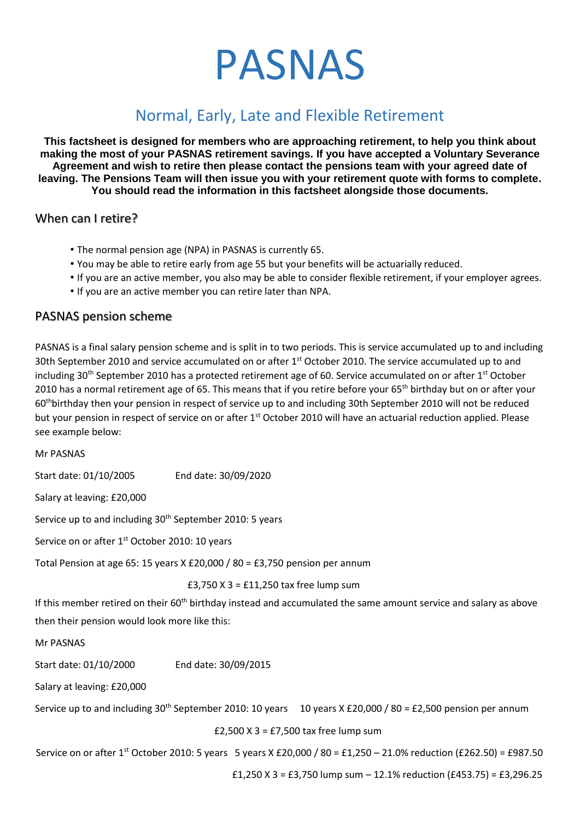# PASNAS

# Normal, Early, Late and Flexible Retirement

**This factsheet is designed for members who are approaching retirement, to help you think about making the most of your PASNAS retirement savings. If you have accepted a Voluntary Severance Agreement and wish to retire then please contact the pensions team with your agreed date of leaving. The Pensions Team will then issue you with your retirement quote with forms to complete. You should read the information in this factsheet alongside those documents.** 

#### When can I retire?

- The normal pension age (NPA) in PASNAS is currently 65.
- You may be able to retire early from age 55 but your benefits will be actuarially reduced.
- If you are an active member, you also may be able to consider flexible retirement, if your employer agrees.
- If you are an active member you can retire later than NPA.

#### PASNAS pension scheme

PASNAS is a final salary pension scheme and is split in to two periods. This is service accumulated up to and including 30th September 2010 and service accumulated on or after 1<sup>st</sup> October 2010. The service accumulated up to and including  $30<sup>th</sup>$  September 2010 has a protected retirement age of 60. Service accumulated on or after 1<sup>st</sup> October 2010 has a normal retirement age of 65. This means that if you retire before your 65<sup>th</sup> birthday but on or after your 60thbirthday then your pension in respect of service up to and including 30th September 2010 will not be reduced but your pension in respect of service on or after 1<sup>st</sup> October 2010 will have an actuarial reduction applied. Please see example below:

#### Mr PASNAS

Start date: 01/10/2005 End date: 30/09/2020

Salary at leaving: £20,000

Service up to and including 30<sup>th</sup> September 2010: 5 years

Service on or after 1<sup>st</sup> October 2010: 10 years

Total Pension at age 65: 15 years X £20,000 / 80 = £3,750 pension per annum

|                                                                       | £3,750 $X$ 3 = £11,250 tax free lump sum |                                                                                                                               |  |
|-----------------------------------------------------------------------|------------------------------------------|-------------------------------------------------------------------------------------------------------------------------------|--|
|                                                                       |                                          | If this member retired on their 60 <sup>th</sup> birthday instead and accumulated the same amount service and salary as above |  |
| then their pension would look more like this:                         |                                          |                                                                                                                               |  |
| Mr PASNAS                                                             |                                          |                                                                                                                               |  |
| Start date: 01/10/2000                                                | End date: 30/09/2015                     |                                                                                                                               |  |
| Salary at leaving: £20,000                                            |                                          |                                                                                                                               |  |
| Service up to and including 30 <sup>th</sup> September 2010: 10 years |                                          | 10 years X £20,000 / 80 = £2,500 pension per annum                                                                            |  |
| £2,500 $X$ 3 = £7,500 tax free lump sum                               |                                          |                                                                                                                               |  |
|                                                                       |                                          |                                                                                                                               |  |

Service on or after 1<sup>st</sup> October 2010: 5 years 5 years X £20,000 / 80 = £1,250 – 21.0% reduction (£262.50) = £987.50

£1,250 X 3 = £3,750 lump sum – 12.1% reduction (£453.75) = £3,296.25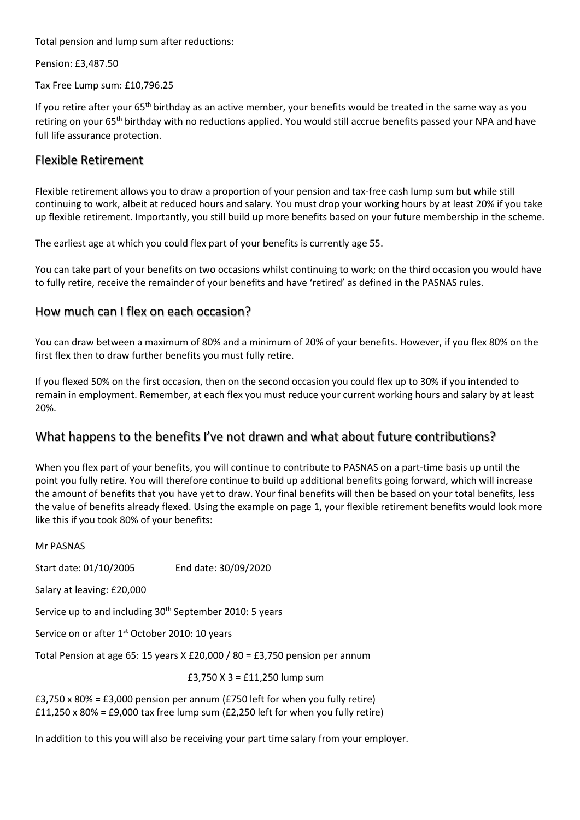Total pension and lump sum after reductions:

Pension: £3,487.50

Tax Free Lump sum: £10,796.25

If you retire after your 65<sup>th</sup> birthday as an active member, your benefits would be treated in the same way as you retiring on your 65<sup>th</sup> birthday with no reductions applied. You would still accrue benefits passed your NPA and have full life assurance protection.

### Flexible Retirement

Flexible retirement allows you to draw a proportion of your pension and tax-free cash lump sum but while still continuing to work, albeit at reduced hours and salary. You must drop your working hours by at least 20% if you take up flexible retirement. Importantly, you still build up more benefits based on your future membership in the scheme.

The earliest age at which you could flex part of your benefits is currently age 55.

You can take part of your benefits on two occasions whilst continuing to work; on the third occasion you would have to fully retire, receive the remainder of your benefits and have 'retired' as defined in the PASNAS rules.

#### How much can I flex on each occasion?

You can draw between a maximum of 80% and a minimum of 20% of your benefits. However, if you flex 80% on the first flex then to draw further benefits you must fully retire.

If you flexed 50% on the first occasion, then on the second occasion you could flex up to 30% if you intended to remain in employment. Remember, at each flex you must reduce your current working hours and salary by at least 20%.

#### What happens to the benefits I've not drawn and what about future contributions?

When you flex part of your benefits, you will continue to contribute to PASNAS on a part-time basis up until the point you fully retire. You will therefore continue to build up additional benefits going forward, which will increase the amount of benefits that you have yet to draw. Your final benefits will then be based on your total benefits, less the value of benefits already flexed. Using the example on page 1, your flexible retirement benefits would look more like this if you took 80% of your benefits:

| Mr PASNAS                                                                   |                               |  |  |
|-----------------------------------------------------------------------------|-------------------------------|--|--|
| Start date: 01/10/2005                                                      | End date: 30/09/2020          |  |  |
| Salary at leaving: £20,000                                                  |                               |  |  |
| Service up to and including 30 <sup>th</sup> September 2010: 5 years        |                               |  |  |
| Service on or after 1 <sup>st</sup> October 2010: 10 years                  |                               |  |  |
| Total Pension at age 65: 15 years X £20,000 / 80 = £3,750 pension per annum |                               |  |  |
|                                                                             | £3,750 X 3 = £11,250 lump sum |  |  |
|                                                                             |                               |  |  |

 $£3,750 \times 80\% = £3,000$  pension per annum (£750 left for when you fully retire)  $£11,250 \times 80\% = £9,000$  tax free lump sum  $£2,250$  left for when you fully retire)

In addition to this you will also be receiving your part time salary from your employer.